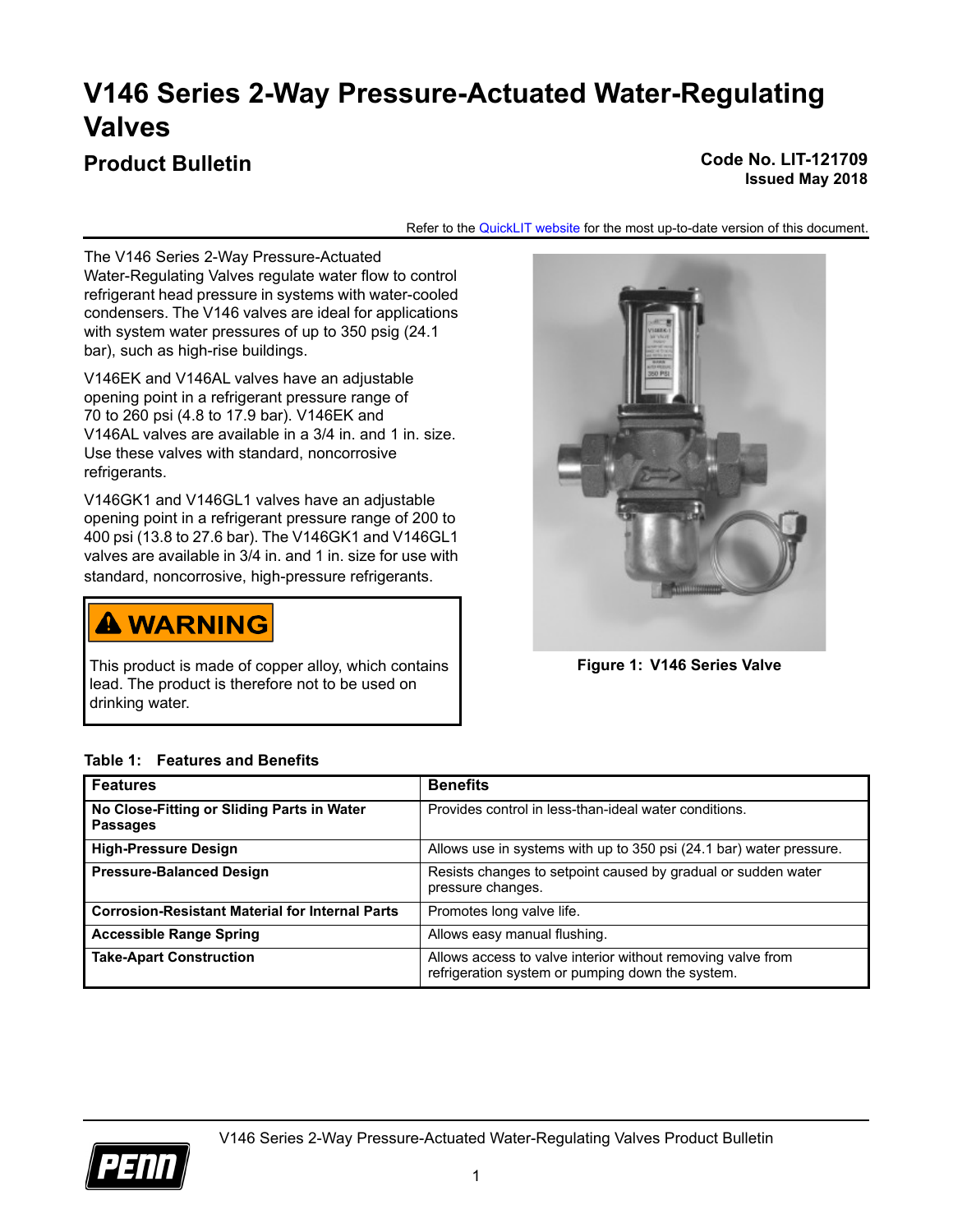# **V146 Series 2-Way Pressure-Actuated Water-Regulating Valves**

## **Product Bulletin Code No. LIT-121709**

**Issued May 2018**

Refer to the [QuickLIT website](http://cgproducts.johnsoncontrols.com/default.aspx) for the most up-to-date version of this document.

The V146 Series 2-Way Pressure-Actuated Water-Regulating Valves regulate water flow to control refrigerant head pressure in systems with water-cooled condensers. The V146 valves are ideal for applications with system water pressures of up to 350 psig (24.1 bar), such as high-rise buildings.

V146EK and V146AL valves have an adjustable opening point in a refrigerant pressure range of 70 to 260 psi (4.8 to 17.9 bar). V146EK and V146AL valves are available in a 3/4 in. and 1 in. size. Use these valves with standard, noncorrosive refrigerants.

V146GK1 and V146GL1 valves have an adjustable opening point in a refrigerant pressure range of 200 to 400 psi (13.8 to 27.6 bar). The V146GK1 and V146GL1 valves are available in 3/4 in. and 1 in. size for use with standard, noncorrosive, high-pressure refrigerants.

# **A WARNING**

This product is made of copper alloy, which contains lead. The product is therefore not to be used on drinking water.



**Figure 1: V146 Series Valve**

| <b>Features</b>                                               | <b>Benefits</b>                                                                                                 |
|---------------------------------------------------------------|-----------------------------------------------------------------------------------------------------------------|
| No Close-Fitting or Sliding Parts in Water<br><b>Passages</b> | Provides control in less-than-ideal water conditions.                                                           |
| <b>High-Pressure Design</b>                                   | Allows use in systems with up to 350 psi (24.1 bar) water pressure.                                             |
| <b>Pressure-Balanced Design</b>                               | Resists changes to setpoint caused by gradual or sudden water<br>pressure changes.                              |
| <b>Corrosion-Resistant Material for Internal Parts</b>        | Promotes long valve life.                                                                                       |
| <b>Accessible Range Spring</b>                                | Allows easy manual flushing.                                                                                    |
| <b>Take-Apart Construction</b>                                | Allows access to valve interior without removing valve from<br>refrigeration system or pumping down the system. |

#### **Table 1: Features and Benefits**

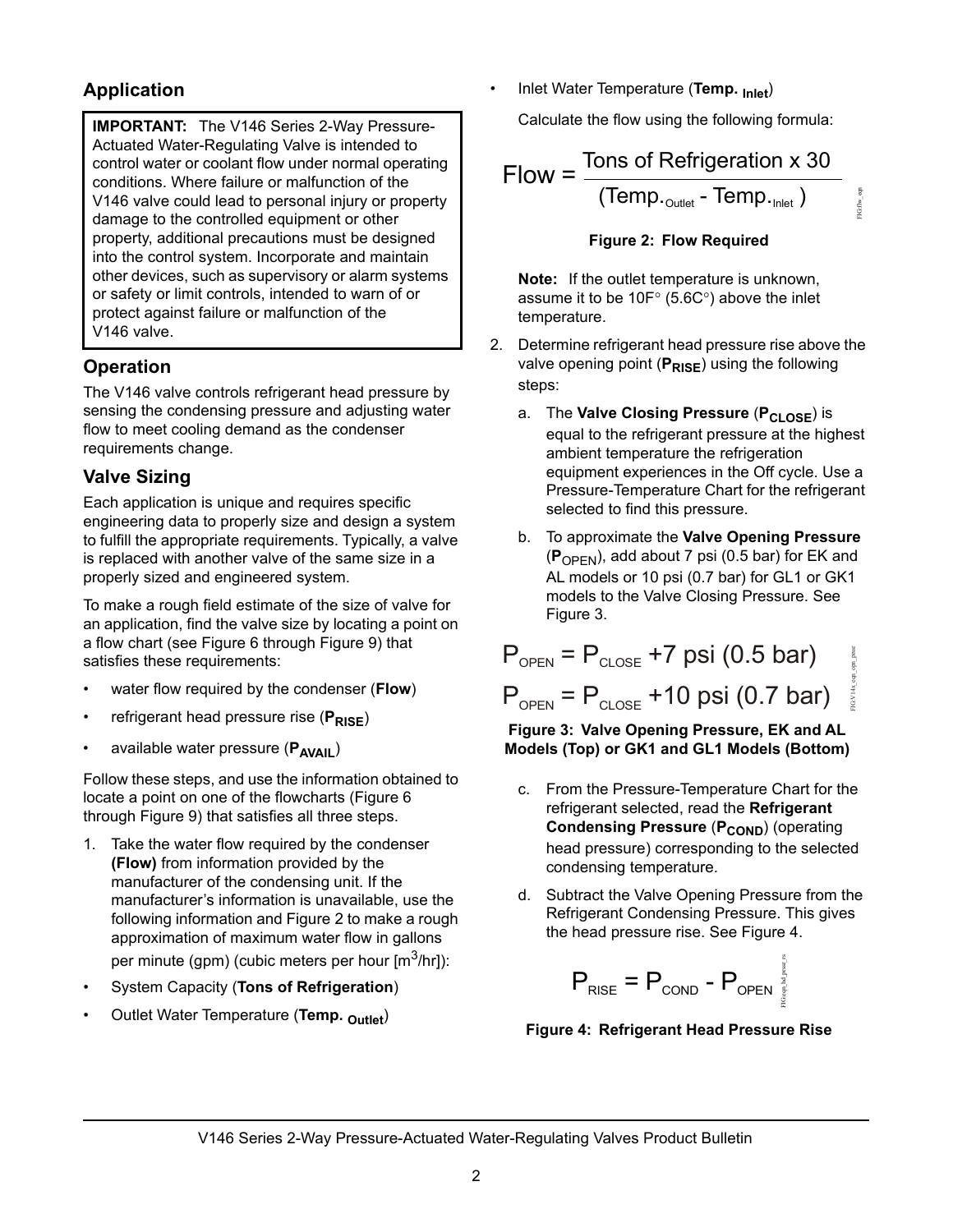## **Application**

**IMPORTANT:** The V146 Series 2-Way Pressure-Actuated Water-Regulating Valve is intended to control water or coolant flow under normal operating conditions. Where failure or malfunction of the V146 valve could lead to personal injury or property damage to the controlled equipment or other property, additional precautions must be designed into the control system. Incorporate and maintain other devices, such as supervisory or alarm systems or safety or limit controls, intended to warn of or protect against failure or malfunction of the V146 valve.

## **Operation**

The V146 valve controls refrigerant head pressure by sensing the condensing pressure and adjusting water flow to meet cooling demand as the condenser requirements change.

## **Valve Sizing**

Each application is unique and requires specific engineering data to properly size and design a system to fulfill the appropriate requirements. Typically, a valve is replaced with another valve of the same size in a properly sized and engineered system.

To make a rough field estimate of the size of valve for an application, find the valve size by locating a point on a flow chart (see [Figure 6](#page-3-0) through [Figure 9](#page-4-0)) that satisfies these requirements:

- water flow required by the condenser (**Flow**)
- refrigerant head pressure rise (PRISE)
- available water pressure (P<sub>AVAII</sub>)

Follow these steps, and use the information obtained to locate a point on one of the flowcharts ([Figure 6](#page-3-0)  through [Figure 9\)](#page-4-0) that satisfies all three steps.

- 1. Take the water flow required by the condenser **(Flow)** from information provided by the manufacturer of the condensing unit. If the manufacturer's information is unavailable, use the following information and [Figure 2](#page-1-0) to make a rough approximation of maximum water flow in gallons per minute (gpm) (cubic meters per hour  $[m^3/hr]$ ):
- System Capacity (**Tons of Refrigeration**)
- Outlet Water Temperature (**Temp. Outlet**)

• Inlet Water Temperature (**Temp. Inlet**)

Calculate the flow using the following formula:

Flow = 
$$
\frac{\text{Tons of Refrigeration x 30}}{(\text{Temp.}_{\text{outer}} - \text{Temp.}_{\text{Inlet}})} \underset{\frac{8}{8} \atop \frac{8}{8}}
$$

#### **Figure 2: Flow Required**

<span id="page-1-0"></span>**Note:** If the outlet temperature is unknown, assume it to be 10 $F^{\circ}$  (5.6C°) above the inlet temperature.

- 2. Determine refrigerant head pressure rise above the valve opening point (PRISE) using the following steps:
	- a. The **Valve Closing Pressure** (P<sub>CLOSE</sub>) is equal to the refrigerant pressure at the highest ambient temperature the refrigeration equipment experiences in the Off cycle. Use a Pressure-Temperature Chart for the refrigerant selected to find this pressure.
	- b. To approximate the **Valve Opening Pressure**   $(P_{\text{OPEN}})$ , add about 7 psi (0.5 bar) for EK and AL models or 10 psi (0.7 bar) for GL1 or GK1 models to the Valve Closing Pressure. See [Figure 3.](#page-1-1)

$$
P_{\text{OPEN}} = P_{\text{CLOSE}} + 7 \text{ psi} (0.5 \text{ bar})
$$
  
 $P_{\text{OPEN}} = P_{\text{CLOSE}} + 10 \text{ psi} (0.7 \text{ bar})$ 

<span id="page-1-1"></span>**Figure 3: Valve Opening Pressure, EK and AL Models (Top) or GK1 and GL1 Models (Bottom)**

- c. From the Pressure-Temperature Chart for the refrigerant selected, read the **Refrigerant Condensing Pressure (P<sub>COND</sub>) (operating** head pressure) corresponding to the selected condensing temperature.
- d. Subtract the Valve Opening Pressure from the Refrigerant Condensing Pressure. This gives the head pressure rise. See [Figure 4](#page-1-2).

$$
P_{RISE} = P_{\text{COND}} - P_{\text{OPEN}}^{\text{P}} \frac{1}{2}
$$

<span id="page-1-2"></span>**Figure 4: Refrigerant Head Pressure Rise**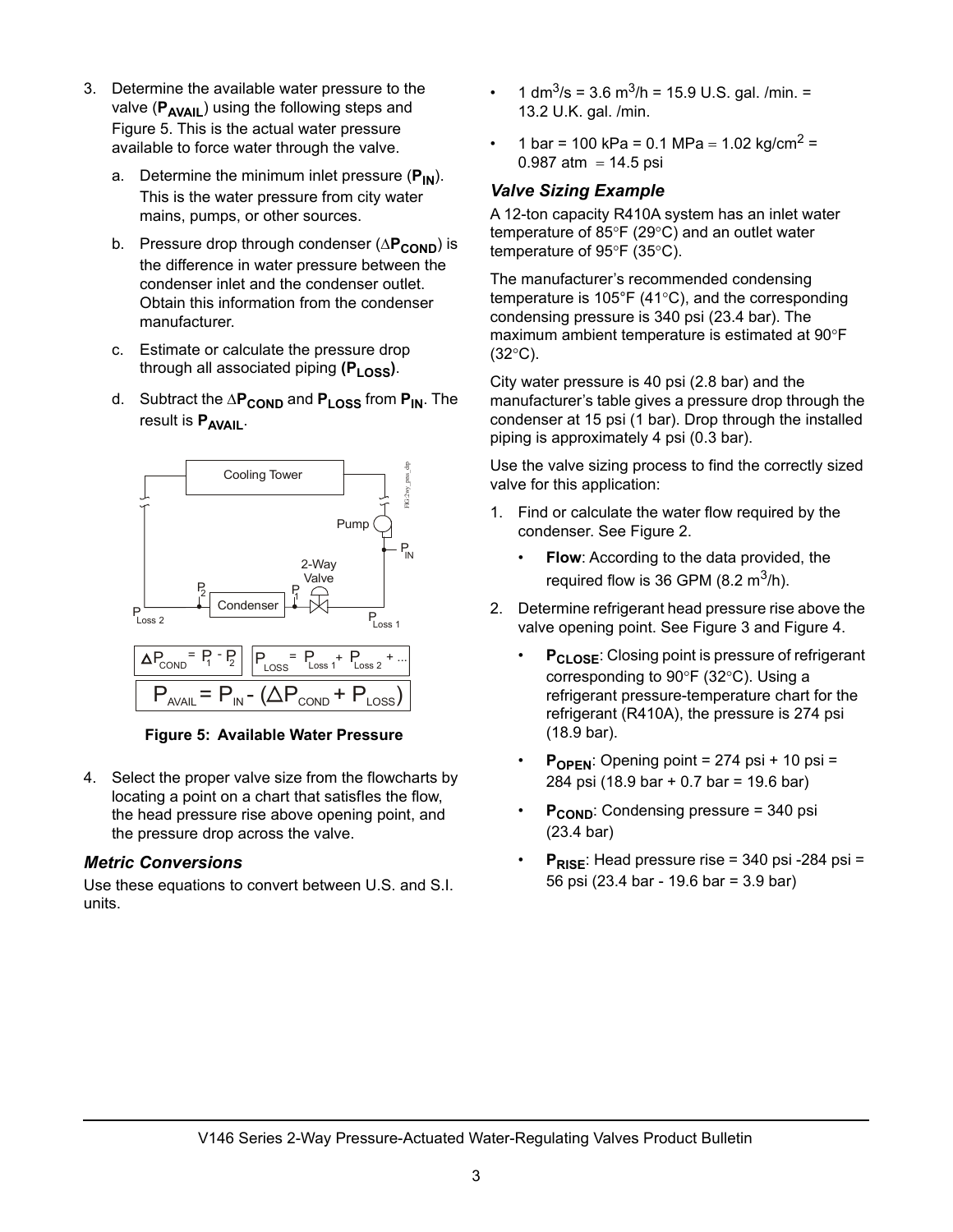- 3. Determine the available water pressure to the valve (P<sub>AVAIL</sub>) using the following steps and [Figure 5](#page-2-0). This is the actual water pressure available to force water through the valve.
	- a. Determine the minimum inlet pressure (P<sub>IN</sub>). This is the water pressure from city water mains, pumps, or other sources.
	- b. Pressure drop through condenser ( $\Delta P_{\text{COMP}}$ ) is the difference in water pressure between the condenser inlet and the condenser outlet. Obtain this information from the condenser manufacturer.
	- c. Estimate or calculate the pressure drop through all associated piping (P<sub>LOSS</sub>).
	- d. Subtract the  $\Delta P_{\text{COND}}$  and  $P_{\text{LOS}}$  from  $P_{\text{IN}}$ . The result is **PAVAIL**.



<span id="page-2-0"></span>**Figure 5: Available Water Pressure**

4. Select the proper valve size from the flowcharts by locating a point on a chart that satisfles the flow, the head pressure rise above opening point, and the pressure drop across the valve.

#### *Metric Conversions*

Use these equations to convert between U.S. and S.I. units.

- 1 dm<sup>3</sup>/s = 3.6 m<sup>3</sup>/h = 15.9 U.S. gal. /min. = 13.2 U.K. gal. /min.
- 1 bar = 100 kPa = 0.1 MPa = 1.02 kg/cm<sup>2</sup> = 0.987 atm =  $14.5$  psi

### *Valve Sizing Example*

A 12-ton capacity R410A system has an inlet water temperature of 85 $\degree$ F (29 $\degree$ C) and an outlet water temperature of  $95^{\circ}F$  (35 $^{\circ}C$ ).

The manufacturer's recommended condensing temperature is 105 $\degree$ F (41 $\degree$ C), and the corresponding condensing pressure is 340 psi (23.4 bar). The maximum ambient temperature is estimated at 90°F  $(32^{\circ}C)$ .

City water pressure is 40 psi (2.8 bar) and the manufacturer's table gives a pressure drop through the condenser at 15 psi (1 bar). Drop through the installed piping is approximately 4 psi (0.3 bar).

Use the valve sizing process to find the correctly sized valve for this application:

- 1. Find or calculate the water flow required by the condenser. See [Figure 2.](#page-1-0)
	- **Flow:** According to the data provided, the required flow is 36 GPM (8.2  $m^3/h$ ).
- 2. Determine refrigerant head pressure rise above the valve opening point. See [Figure 3](#page-1-1) and [Figure 4.](#page-1-2)
	- P<sub>CLOSE</sub>: Closing point is pressure of refrigerant corresponding to  $90^{\circ}$ F (32 $^{\circ}$ C). Using a refrigerant pressure-temperature chart for the refrigerant (R410A), the pressure is 274 psi (18.9 bar).
	- P<sub>OPEN</sub>: Opening point = 274 psi + 10 psi = 284 psi (18.9 bar + 0.7 bar = 19.6 bar)
	- **P<sub>COND</sub>:** Condensing pressure = 340 psi (23.4 bar)
	- **P<sub>RISE</sub>**: Head pressure rise = 340 psi -284 psi = 56 psi (23.4 bar - 19.6 bar = 3.9 bar)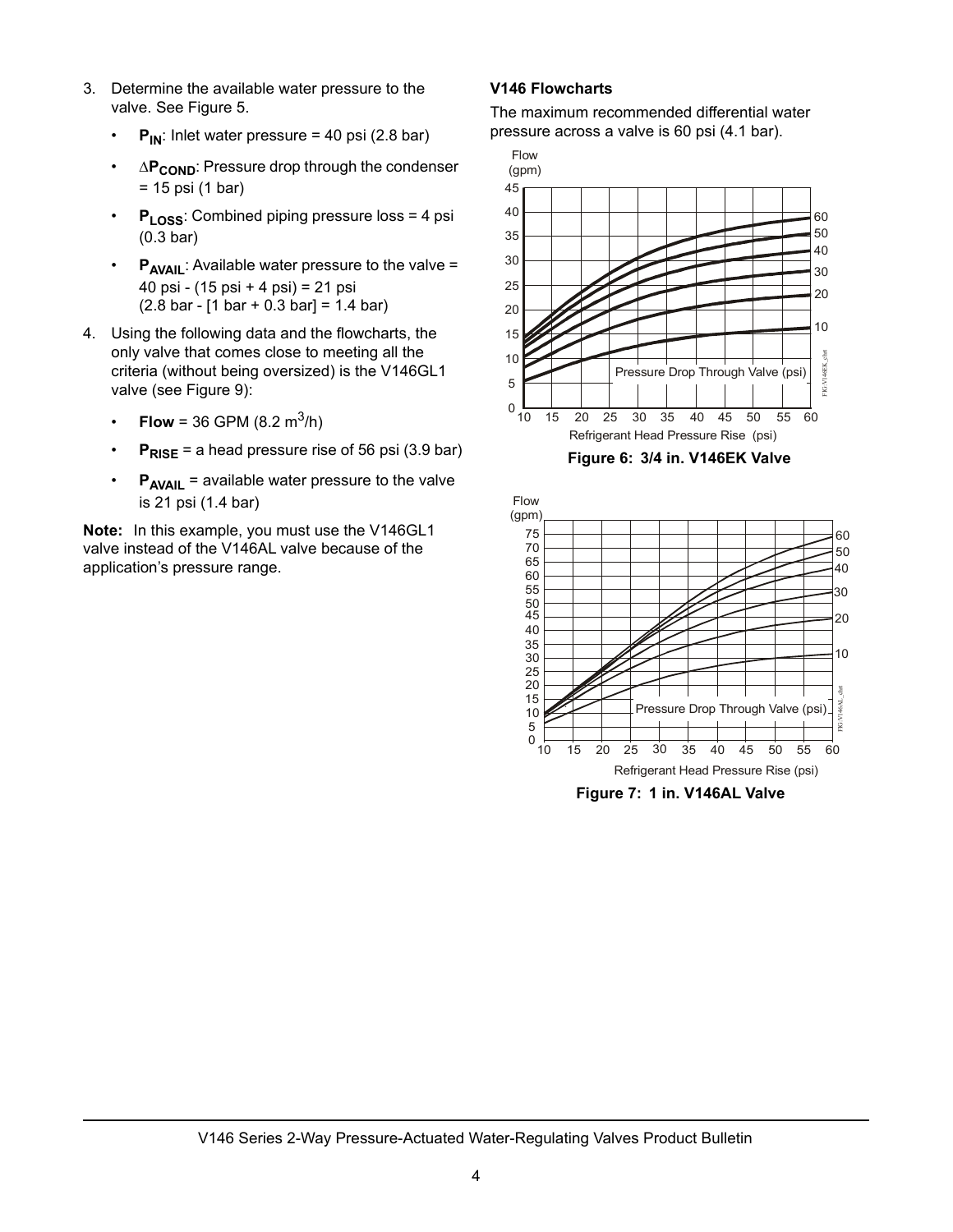- 3. Determine the available water pressure to the valve. See [Figure 5.](#page-2-0)
	- $P_{IN}$ : Inlet water pressure = 40 psi (2.8 bar)
	- $\cdot$   $\Delta P_{\text{COMP}}$ : Pressure drop through the condenser = 15 psi (1 bar)
	- **P**<sub>LOSS</sub>: Combined piping pressure loss = 4 psi (0.3 bar)
	- **P<sub>AVAIL</sub>:** Available water pressure to the valve = 40 psi - (15 psi + 4 psi) = 21 psi  $(2.8 \text{ bar} - [1 \text{ bar} + 0.3 \text{ bar}] = 1.4 \text{ bar})$
- 4. Using the following data and the flowcharts, the only valve that comes close to meeting all the criteria (without being oversized) is the V146GL1 valve (see [Figure 9](#page-4-0)):
	- **Flow** = 36 GPM (8.2 m<sup>3</sup>/h)
	- $P_{RISE}$  = a head pressure rise of 56 psi (3.9 bar)
	- **P<sub>AVAIL</sub>** = available water pressure to the valve is 21 psi (1.4 bar)

**Note:** In this example, you must use the V146GL1 valve instead of the V146AL valve because of the application's pressure range.

#### **V146 Flowcharts**

The maximum recommended differential water pressure across a valve is 60 psi (4.1 bar).



**Figure 6: 3/4 in. V146EK Valve**

<span id="page-3-0"></span>

**Figure 7: 1 in. V146AL Valve**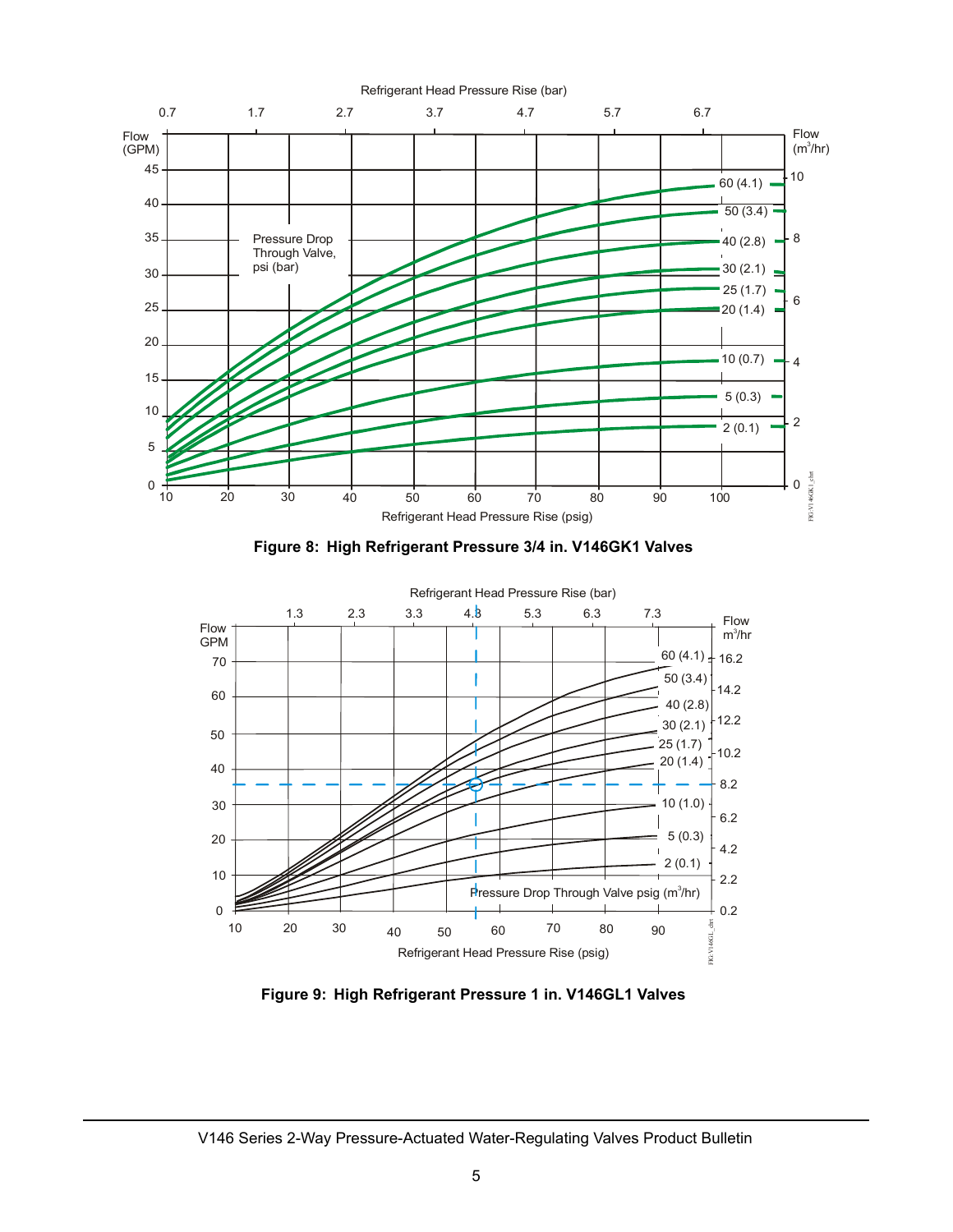

**Figure 8: High Refrigerant Pressure 3/4 in. V146GK1 Valves**



<span id="page-4-0"></span>**Figure 9: High Refrigerant Pressure 1 in. V146GL1 Valves**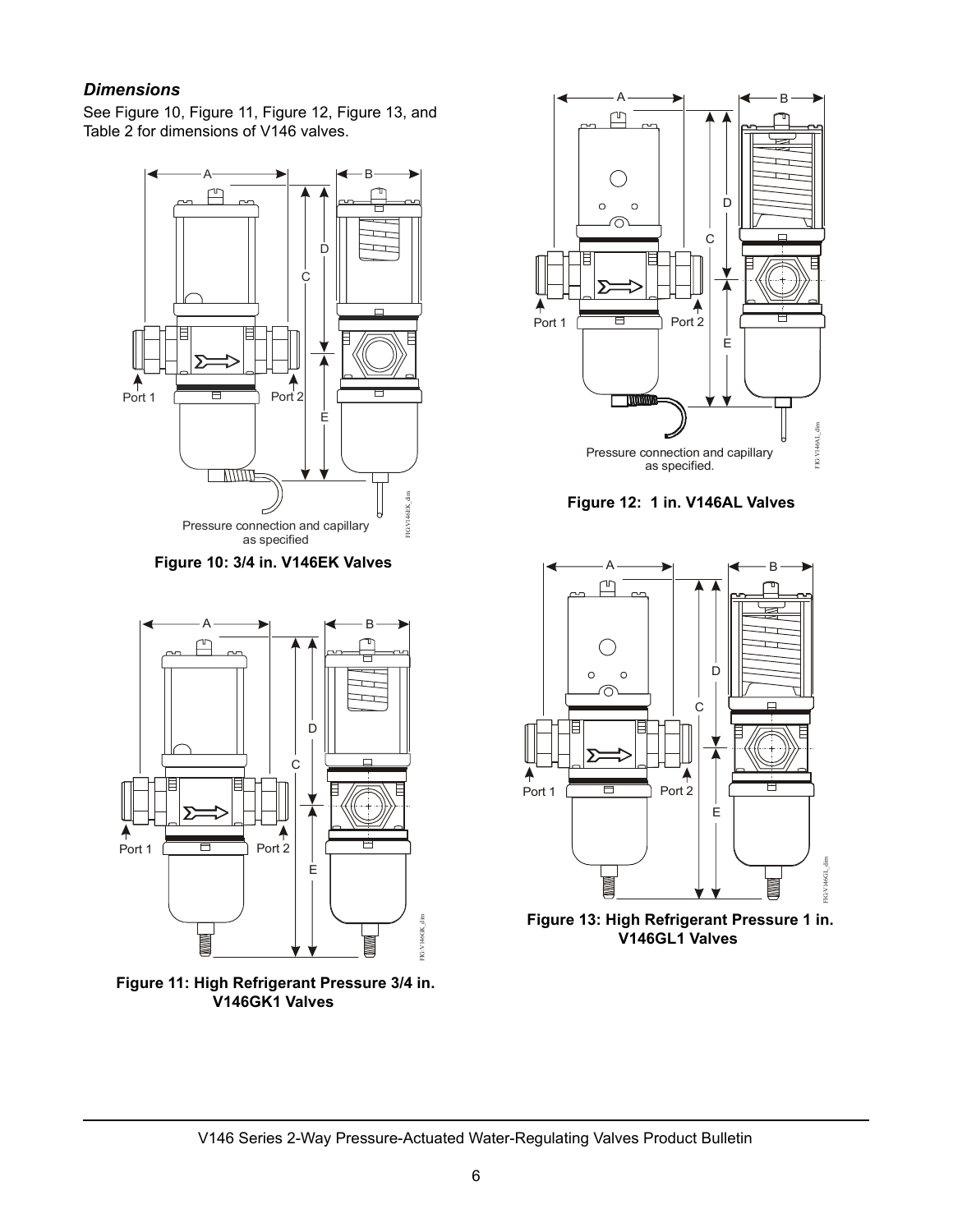### *Dimensions*

See Figure 10, [Figure 11](#page-5-0), Figure 12, Figure 13, and Table 2 for dimensions of V146 valves.



**Figure 10: 3/4 in. V146EK Valves**



<span id="page-5-0"></span>**Figure 11: High Refrigerant Pressure 3/4 in. V146GK1 Valves**



**Figure 12: 1 in. V146AL Valves**



**Figure 13: High Refrigerant Pressure 1 in. V146GL1 Valves**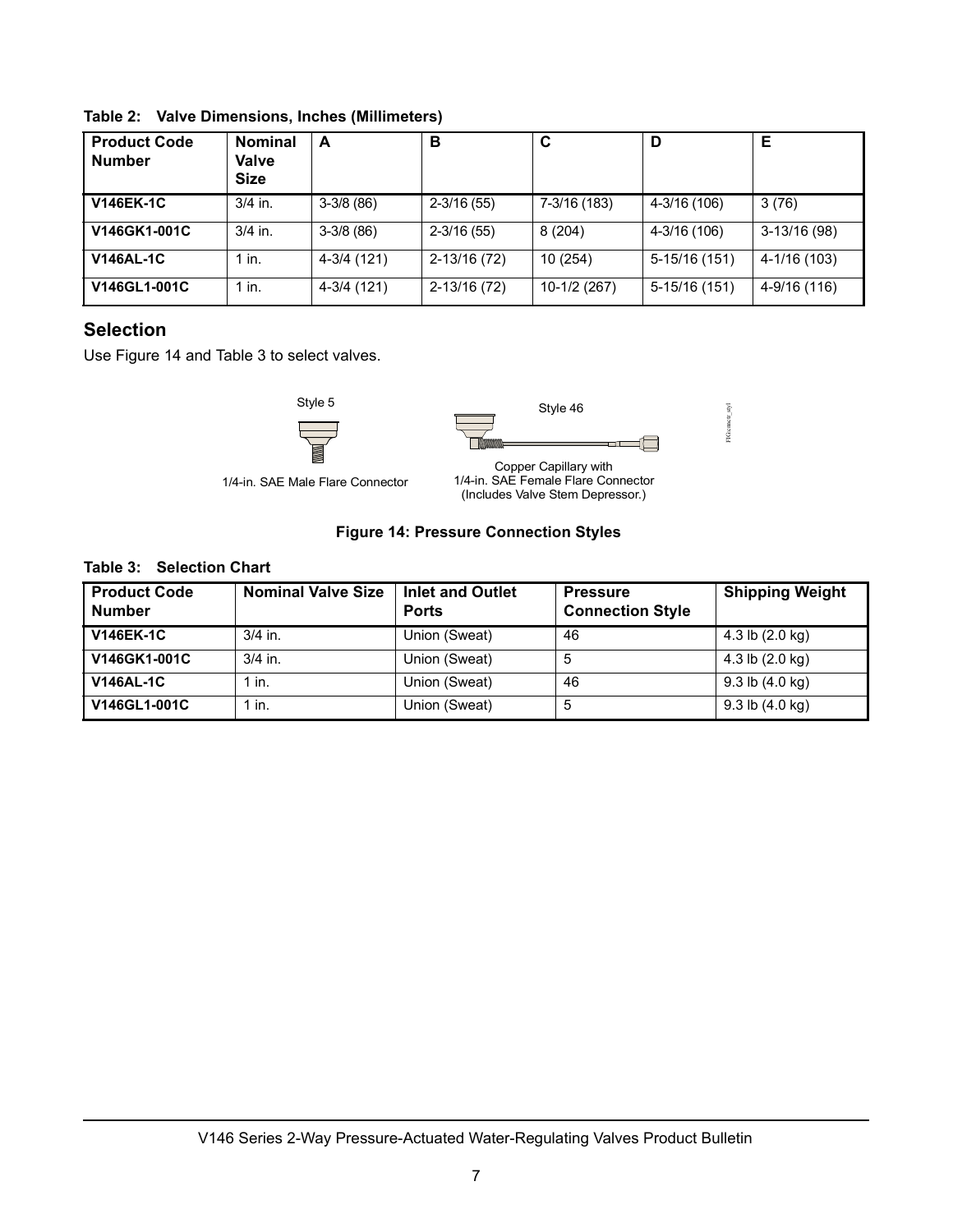| <b>Product Code</b><br><b>Number</b> | <b>Nominal</b><br>Valve<br><b>Size</b> | A           | в              | C            |                | Е             |
|--------------------------------------|----------------------------------------|-------------|----------------|--------------|----------------|---------------|
| <b>V146EK-1C</b>                     | $3/4$ in.                              | $3-3/8(86)$ | $2 - 3/16(55)$ | 7-3/16 (183) | 4-3/16 (106)   | 3(76)         |
| V146GK1-001C                         | $3/4$ in.                              | $3-3/8(86)$ | $2 - 3/16(55)$ | 8(204)       | 4-3/16 (106)   | $3-13/16(98)$ |
| <b>V146AL-1C</b>                     | 1 in.                                  | 4-3/4 (121) | 2-13/16 (72)   | 10(254)      | 5-15/16 (151)  | 4-1/16 (103)  |
| V146GL1-001C                         | $1$ in.                                | 4-3/4 (121) | 2-13/16 (72)   | 10-1/2 (267) | $5-15/16(151)$ | 4-9/16 (116)  |

**Table 2: Valve Dimensions, Inches (Millimeters)**

## **Selection**

Use Figure 14 and [Table 3](#page-6-0) to select valves.





 $\textrm{FIGconvet\_slyl}$ FIG:cnnctr\_styl

1/4-in. SAE Male Flare Connector



#### **Figure 14: Pressure Connection Styles**

#### <span id="page-6-0"></span>**Table 3: Selection Chart**

| <b>Product Code</b><br><b>Number</b> | <b>Nominal Valve Size</b> | <b>Inlet and Outlet</b><br><b>Ports</b> | <b>Pressure</b><br><b>Connection Style</b> | <b>Shipping Weight</b>      |
|--------------------------------------|---------------------------|-----------------------------------------|--------------------------------------------|-----------------------------|
| <b>V146EK-1C</b>                     | $3/4$ in.                 | Union (Sweat)                           | 46                                         | 4.3 lb $(2.0 \text{ kg})$   |
| V146GK1-001C                         | $3/4$ in.                 | Union (Sweat)                           | 5                                          | 4.3 lb $(2.0 \text{ kg})$   |
| <b>V146AL-1C</b>                     | $1$ in.                   | Union (Sweat)                           | 46                                         | $9.3$ lb $(4.0 \text{ kg})$ |
| V146GL1-001C                         | $1$ in.                   | Union (Sweat)                           | 5                                          | $9.3$ lb $(4.0 \text{ kg})$ |